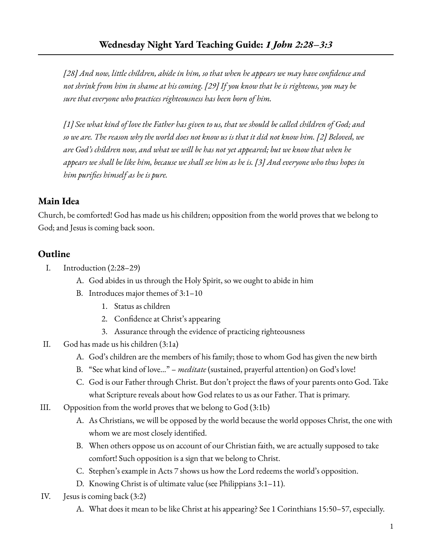*[28] And now, little children, abide in him, so that when he appears we may have confidence and* not shrink from him in shame at his coming. [29] If you know that he is righteous, you may be *sure that everyone who practices righteousness has been born of him.*

[1] See what kind of love the Father has given to us, that we should be called children of God; and so we are. The reason why the world does not know us is that it did not know him. [2] Beloved, we *are God's children now, and what we will be has not yet appeared; but we know that when he* appears we shall be like him, because we shall see him as he is. [3] And everyone who thus hopes in *him purifies himself as he is pure.*

## **Main Idea**

Church, be comforted! God has made us his children; opposition from the world proves that we belong to God; and Jesus is coming back soon.

## **Outline**

- I. Introduction (2:28–29)
	- A. God abides in us through the Holy Spirit, so we ought to abide in him
	- B. Introduces major themes of 3:1–10
		- 1. Status as children
		- 2. Confidence at Christ's appearing
		- 3. Assurance through the evidence of practicing righteousness
- II. God has made us his children (3:1a)
	- A. God's children are the members of his family; those to whom God has given the new birth
	- B. "See what kind of love…" *meditate* (sustained, prayerful attention) on God's love!
	- C. God is our Father through Christ. But don't project the flaws of your parents onto God. Take what Scripture reveals about how God relates to us as our Father. That is primary.
- III. Opposition from the world proves that we belong to God (3:1b)
	- A. As Christians, we will be opposed by the world because the world opposes Christ, the one with whom we are most closely identified.
	- B. When others oppose us on account of our Christian faith, we are actually supposed to take comfort! Such opposition is a sign that we belong to Christ.
	- C. Stephen's example in Acts 7 shows us how the Lord redeems the world's opposition.
	- D. Knowing Christ is of ultimate value (see Philippians 3:1–11).
- IV. Jesus is coming back (3:2)
	- A. What does it mean to be like Christ at his appearing? See 1 Corinthians 15:50–57, especially.